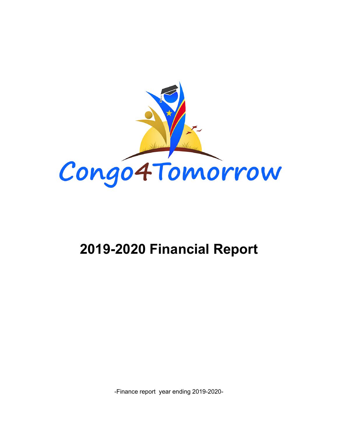

# **2019-2020 Financial Report**

-Finance report year ending 2019-2020-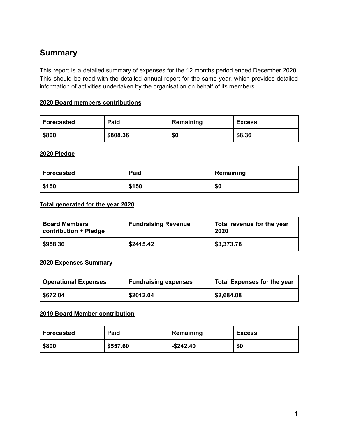# **Summary**

This report is a detailed summary of expenses for the 12 months period ended December 2020. This should be read with the detailed annual report for the same year, which provides detailed information of activities undertaken by the organisation on behalf of its members.

## **2020 Board members contributions**

| Forecasted | Paid     | Remaining | <b>Excess</b> |
|------------|----------|-----------|---------------|
| \$800      | \$808.36 | \$0       | \$8.36        |

#### **2020 Pledge**

| Forecasted | Paid  | Remaining |
|------------|-------|-----------|
| \$150      | \$150 | \$0       |

#### **Total generated for the year 2020**

| <b>Board Members</b><br>contribution + Pledge | <b>Fundraising Revenue</b> | Total revenue for the year<br>2020 |
|-----------------------------------------------|----------------------------|------------------------------------|
| \$958.36                                      | \$2415.42                  | \$3,373.78                         |

## **2020 Expenses Summary**

| <b>Operational Expenses</b> | <b>Fundraising expenses</b> | <b>Total Expenses for the year</b> |
|-----------------------------|-----------------------------|------------------------------------|
| \$672.04                    | \$2012.04                   | \$2,684.08                         |

## **2019 Board Member contribution**

| Forecasted | Paid     | Remaining    | <b>Excess</b> |
|------------|----------|--------------|---------------|
| \$800      | \$557.60 | $-$ \$242.40 | \$0           |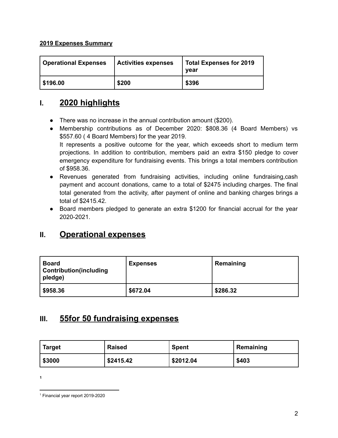## **2019 Expenses Summary**

| <b>Operational Expenses</b> | <b>Activities expenses</b> | <b>Total Expenses for 2019</b><br>vear |
|-----------------------------|----------------------------|----------------------------------------|
| \$196.00                    | \$200                      | \$396                                  |

# **I. 2020 highlights**

- There was no increase in the annual contribution amount (\$200).
- Membership contributions as of December 2020: \$808.36 (4 Board Members) vs \$557.60 ( 4 Board Members) for the year 2019. It represents a positive outcome for the year, which exceeds short to medium term projections. In addition to contribution, members paid an extra \$150 pledge to cover emergency expenditure for fundraising events. This brings a total members contribution of \$958.36.
- Revenues generated from fundraising activities, including online fundraising,cash payment and account donations, came to a total of \$2475 including charges. The final total generated from the activity, after payment of online and banking charges brings a total of \$2415.42.
- Board members pledged to generate an extra \$1200 for financial accrual for the year 2020-2021.

# **II. Operational expenses**

| <b>Board</b><br><b>Contribution (including</b><br>pledge) | <b>Expenses</b> | Remaining |
|-----------------------------------------------------------|-----------------|-----------|
| $\frac{$958.36}{ }$                                       | \$672.04        | \$286.32  |

## **III. 55for 50 fundraising expenses**

| <b>Target</b> | <b>Raised</b> | <b>Spent</b> | Remaining |
|---------------|---------------|--------------|-----------|
| \$3000        | \$2415.42     | \$2012.04    | \$403     |

**1**

<sup>1</sup> Financial year report 2019-2020